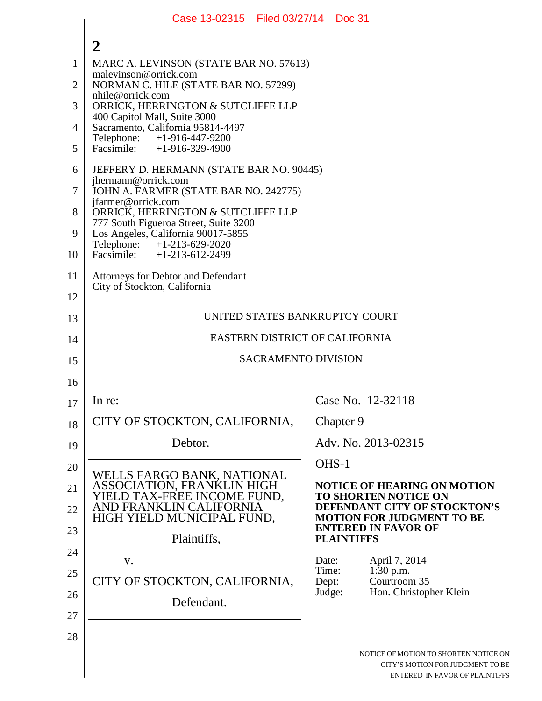|                | Case 13-02315   Filed 03/27/14   Doc 31                                                                   |                                                                   |
|----------------|-----------------------------------------------------------------------------------------------------------|-------------------------------------------------------------------|
|                | $\overline{2}$                                                                                            |                                                                   |
| 1              | MARC A. LEVINSON (STATE BAR NO. 57613)                                                                    |                                                                   |
| $\overline{2}$ | malevinson@orrick.com<br>NORMAN C. HILE (STATE BAR NO. 57299)                                             |                                                                   |
| 3              | nhile@orrick.com<br>ORRICK, HERRINGTON & SUTCLIFFE LLP                                                    |                                                                   |
| $\overline{4}$ | 400 Capitol Mall, Suite 3000<br>Sacramento, California 95814-4497                                         |                                                                   |
| 5              | Telephone:<br>+1-916-447-9200<br>Facsimile: $+1-916-329-4900$                                             |                                                                   |
| 6              | JEFFERY D. HERMANN (STATE BAR NO. 90445)                                                                  |                                                                   |
| 7              | jhermann@orrick.com<br>JOHN A. FARMER (STATE BAR NO. 242775)                                              |                                                                   |
| 8              | jfarmer@orrick.com<br>ORRICK, HERRINGTON & SUTCLIFFE LLP                                                  |                                                                   |
| 9              | 777 South Figueroa Street, Suite 3200<br>Los Angeles, California 90017-5855<br>Telephone: +1-213-629-2020 |                                                                   |
| 10             | Facsimile: $+1-213-612-2499$                                                                              |                                                                   |
| 11             | Attorneys for Debtor and Defendant<br>City of Stockton, California                                        |                                                                   |
| 12             |                                                                                                           |                                                                   |
| 13             | UNITED STATES BANKRUPTCY COURT                                                                            |                                                                   |
| 14             | EASTERN DISTRICT OF CALIFORNIA                                                                            |                                                                   |
| 15             | <b>SACRAMENTO DIVISION</b>                                                                                |                                                                   |
| 16             |                                                                                                           |                                                                   |
| 17             | In re:                                                                                                    | Case No. 12-32118                                                 |
| 18             | CITY OF STOCKTON, CALIFORNIA,                                                                             | Chapter 9                                                         |
| 19             | Debtor.                                                                                                   | Adv. No. 2013-02315                                               |
| 20             |                                                                                                           | OHS-1                                                             |
| 21             | WELLS FARGO BANK, NATIONAL<br>ASSOCIATION, FRANKLIN HIGH<br>YIELD TAX-FREE INCOME FUND,                   | <b>NOTICE OF HEARING ON MOTION</b><br><b>TO SHORTEN NOTICE ON</b> |
| 22             | AND FRANKLIN CALIFORNIA<br>HIGH YIELD MUNICIPAL FUND,                                                     | DEFENDANT CITY OF STOCKTON'S<br><b>MOTION FOR JUDGMENT TO BE</b>  |
| 23             | Plaintiffs,                                                                                               | <b>ENTERED IN FAVOR OF</b><br><b>PLAINTIFFS</b>                   |
| 24             | V.                                                                                                        | Date:<br>April 7, 2014                                            |
| 25             | CITY OF STOCKTON, CALIFORNIA,                                                                             | Time:<br>1:30 p.m.<br>Courtroom 35<br>Dept:                       |
| 26             | Defendant.                                                                                                | Hon. Christopher Klein<br>Judge:                                  |
| 27             |                                                                                                           |                                                                   |
| 28             |                                                                                                           |                                                                   |
|                |                                                                                                           | NOTICE OF MOTION TO SHORTEN NOTICE ON                             |

 $\blacksquare$